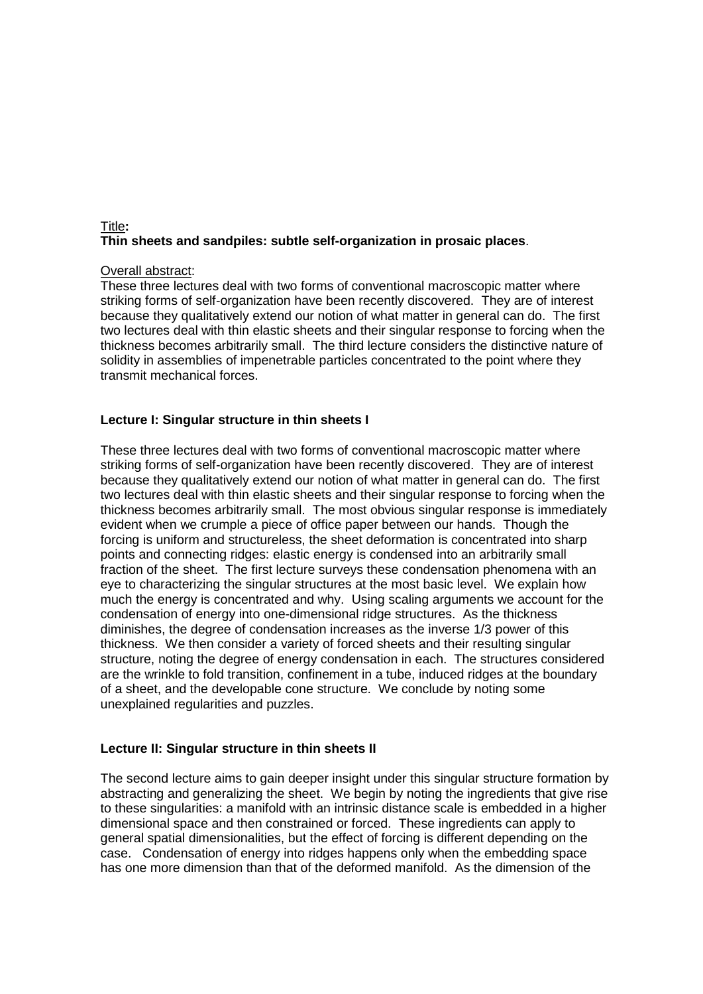## Title **: Thin sheets and sandpiles: subtle self-organization in prosaic places**.

# <u>Overall abstract</u>:

These three lectures deal with two forms of conventional macroscopic matter where striking forms of self-organization have been recently discovered. They are of interest because they qualitatively extend our notion of what matter in general can do. The first two lectures deal with thin elastic sheets and their singular response to forcing when the thickness becomes arbitrarily small. The third lecture considers the distinctive nature of solidity in assemblies of impenetrable particles concentrated to the point where they transmit mechanical forces.

## **Lecture I: Singular structure in thin sheets I**

These three lectures deal with two forms of conventional macroscopic matter where striking forms of self-organization have been recently discovered. They are of interest because they qualitatively extend our notion of what matter in general can do. The first two lectures deal with thin elastic sheets and their singular response to forcing when the thickness becomes arbitrarily small. The most obvious singular response is immediately evident when we crumple a piece of office paper between our hands. Though the forcing is uniform and structureless, the sheet deformation is concentrated into sharp points and connecting ridges: elastic energy is condensed into an arbitrarily small fraction of the sheet. The first lecture surveys these condensation phenomena with an eye to characterizing the singular structures at the most basic level. We explain how much the energy is concentrated and why. Using scaling arguments we account for the condensation of energy into one-dimensional ridge structures. As the thickness diminishes, the degree of condensation increases as the inverse 1/3 power of this thickness. We then consider a variety of forced sheets and their resulting singular structure, noting the degree of energy condensation in each. The structures considered are the wrinkle to fold transition, confinement in a tube, induced ridges at the boundary of a sheet, and the developable cone structure. We conclude by noting some unexplained regularities and puzzles.

### **Lecture II: Singular structure in thin sheets II**

The second lecture aims to gain deeper insight under this singular structure formation by abstracting and generalizing the sheet. We begin by noting the ingredients that give rise to these singularities: a manifold with an intrinsic distance scale is embedded in a higher dimensional space and then constrained or forced. These ingredients can apply to general spatial dimensionalities, but the effect of forcing is different depending on the case. Condensation of energy into ridges happens only when the embedding space has one more dimension than that of the deformed manifold. As the dimension of the